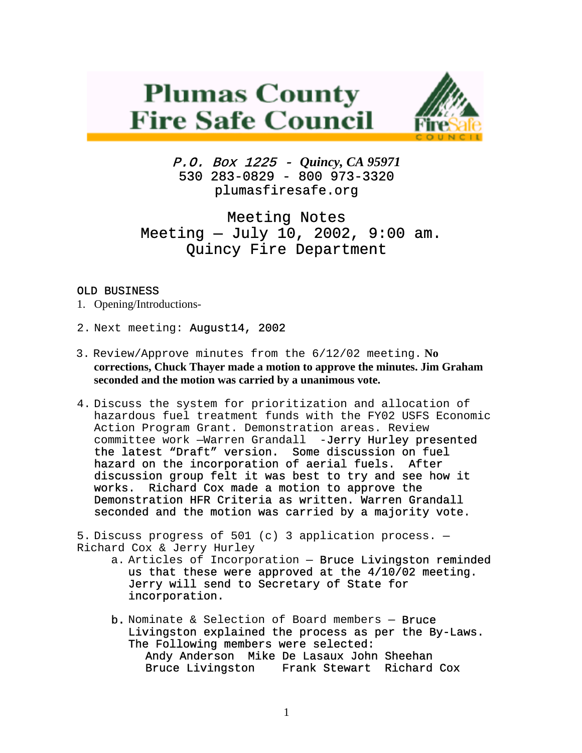# **Plumas County Fire Safe Council**



P.O. Box 1225 - *Quincy, CA 95971*   $530$  283-0829 - 800 973-3320 plumasfiresafe.org

# Meeting Notes Meeting — July 10, 2002, 9:00 am. Quincy Fire Department

## OLD BUSINESS

- 1. Opening/Introductions-
- 2. Next meeting: August14, 2002
- 3. Review/Approve minutes from the 6/12/02 meeting. **No corrections, Chuck Thayer made a motion to approve the minutes. Jim Graham seconded and the motion was carried by a unanimous vote.**
- 4. Discuss the system for prioritization and allocation of hazardous fuel treatment funds with the FY02 USFS Economic Action Program Grant. Demonstration areas. Review committee work —Warren Grandall -Jerry Hurley presented the latest "Draft" version. Some discussion on fuel hazard on the incorporation of aerial fuels. After discussion group felt it was best to try and see how it works. Richard Cox made a motion to approve the Demonstration HFR Criteria as written. Warren Grandall seconded and the motion was carried by a majority vote.

5. Discuss progress of 501 (c) 3 application process. — Richard Cox & Jerry Hurley

- a. Articles of Incorporation Bruce Livingston reminded us that these were approved at the 4/10/02 meeting. Jerry will send to Secretary of State for incorporation.
- b. Nominate & Selection of Board members Bruce Livingston explained the process as per the By-Laws. The Following members were selected: Andy Anderson Mike De Lasaux John Sheehan Bruce Livingston Frank Stewart Richard Cox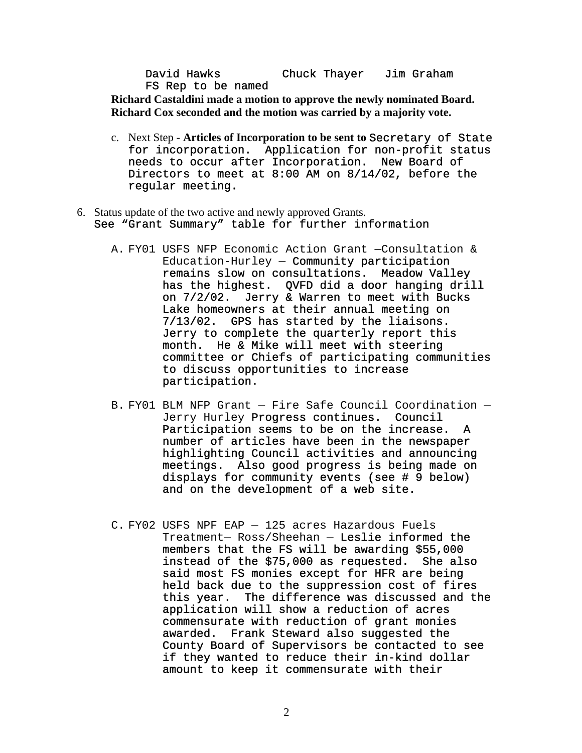David Hawks Chuck Thayer Jim Graham FS Rep to be named

**Richard Castaldini made a motion to approve the newly nominated Board. Richard Cox seconded and the motion was carried by a majority vote.**

- c. Next Step **Articles of Incorporation to be sent to** Secretary of State for incorporation. Application for non-profit status needs to occur after Incorporation. New Board of Directors to meet at 8:00 AM on 8/14/02, before the regular meeting.
- 6. Status update of the two active and newly approved Grants. See "Grant Summary" table for further information
	- A. FY01 USFS NFP Economic Action Grant —Consultation & Education-Hurley — Community participation remains slow on consultations. Meadow Valley has the highest. QVFD did a door hanging drill on 7/2/02. Jerry & Warren to meet with Bucks Lake homeowners at their annual meeting on 7/13/02. GPS has started by the liaisons. Jerry to complete the quarterly report this month. He & Mike will meet with steering committee or Chiefs of participating communities to discuss opportunities to increase participation.
	- B. FY01 BLM NFP Grant Fire Safe Council Coordination Jerry Hurley Progress continues. Council Participation seems to be on the increase. A number of articles have been in the newspaper highlighting Council activities and announcing meetings. Also good progress is being made on displays for community events (see # 9 below) and on the development of a web site.
	- C. FY02 USFS NPF EAP 125 acres Hazardous Fuels Treatment— Ross/Sheehan — Leslie informed the members that the FS will be awarding \$55,000 instead of the \$75,000 as requested. She also said most FS monies except for HFR are being held back due to the suppression cost of fires this year. The difference was discussed and the application will show a reduction of acres commensurate with reduction of grant monies awarded. Frank Steward also suggested the County Board of Supervisors be contacted to see if they wanted to reduce their in-kind dollar amount to keep it commensurate with their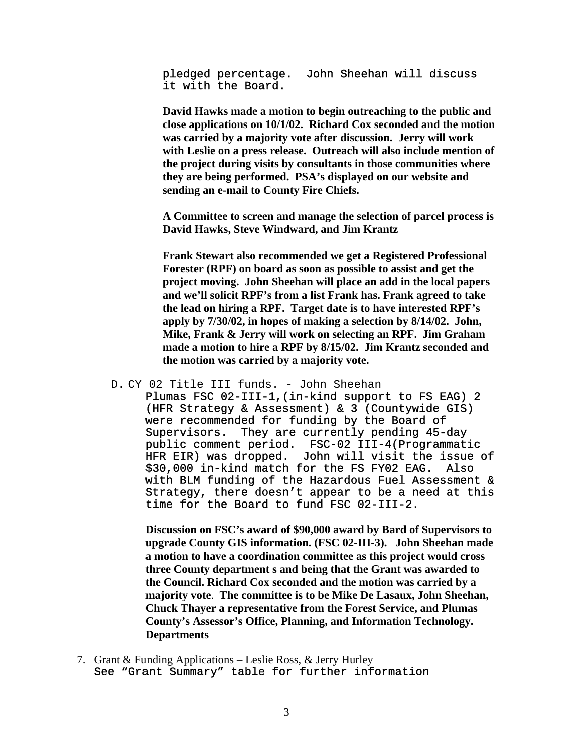pledged percentage. John Sheehan will discuss it with the Board.

**David Hawks made a motion to begin outreaching to the public and close applications on 10/1/02. Richard Cox seconded and the motion was carried by a majority vote after discussion. Jerry will work with Leslie on a press release. Outreach will also include mention of the project during visits by consultants in those communities where they are being performed. PSA's displayed on our website and sending an e-mail to County Fire Chiefs.** 

**A Committee to screen and manage the selection of parcel process is David Hawks, Steve Windward, and Jim Krantz** 

**Frank Stewart also recommended we get a Registered Professional Forester (RPF) on board as soon as possible to assist and get the project moving. John Sheehan will place an add in the local papers and we'll solicit RPF's from a list Frank has. Frank agreed to take the lead on hiring a RPF. Target date is to have interested RPF's apply by 7/30/02, in hopes of making a selection by 8/14/02. John, Mike, Frank & Jerry will work on selecting an RPF. Jim Graham made a motion to hire a RPF by 8/15/02. Jim Krantz seconded and the motion was carried by a majority vote.** 

#### D. CY 02 Title III funds. - John Sheehan

Plumas FSC 02-III-1,(in-kind support to FS EAG) 2 (HFR Strategy & Assessment) & 3 (Countywide GIS) were recommended for funding by the Board of Supervisors. They are currently pending 45-day<br>public comment period. FSC-02 III-4(Programmati public comment period. FSC-02 III-4(Programmatic HFR EIR) was dropped. John will visit the issue of \$30,000 in-kind match for the FS FY02 EAG. Also with BLM funding of the Hazardous Fuel Assessment & Strategy, there doesn't appear to be a need at this time for the Board to fund FSC 02-III-2.

**Discussion on FSC's award of \$90,000 award by Bard of Supervisors to upgrade County GIS information. (FSC 02-III-3). John Sheehan made a motion to have a coordination committee as this project would cross three County department s and being that the Grant was awarded to the Council. Richard Cox seconded and the motion was carried by a majority vote**. **The committee is to be Mike De Lasaux, John Sheehan, Chuck Thayer a representative from the Forest Service, and Plumas County's Assessor's Office, Planning, and Information Technology. Departments**

7. Grant & Funding Applications – Leslie Ross, & Jerry Hurley See "Grant Summary" table for further information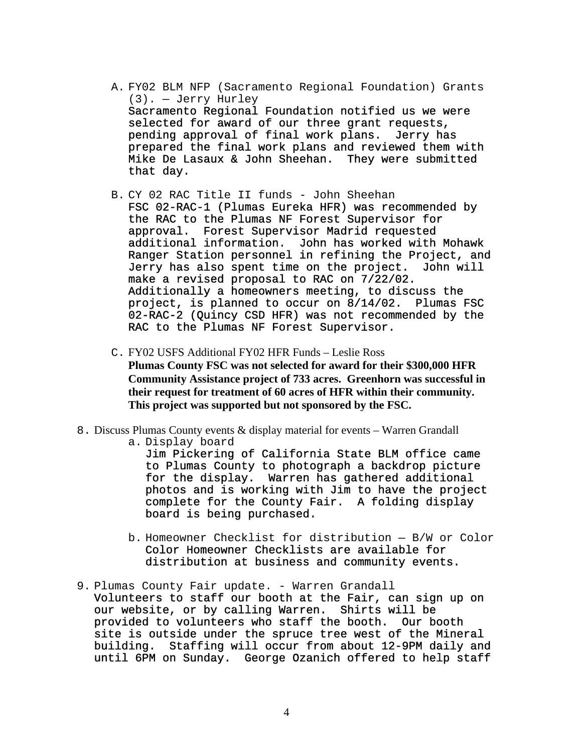- A. FY02 BLM NFP (Sacramento Regional Foundation) Grants (3). — Jerry Hurley Sacramento Regional Foundation notified us we were selected for award of our three grant requests, pending approval of final work plans. Jerry has prepared the final work plans and reviewed them with Mike De Lasaux & John Sheehan. They were submitted that day.
- B. CY 02 RAC Title II funds John Sheehan

FSC 02-RAC-1 (Plumas Eureka HFR) was recommended by the RAC to the Plumas NF Forest Supervisor for approval. Forest Supervisor Madrid requested additional information. John has worked with Mohawk Ranger Station personnel in refining the Project, and Jerry has also spent time on the project. John will make a revised proposal to RAC on 7/22/02. Additionally a homeowners meeting, to discuss the project, is planned to occur on 8/14/02. Plumas FSC 02-RAC-2 (Quincy CSD HFR) was not recommended by the RAC to the Plumas NF Forest Supervisor.

- C. FY02 USFS Additional FY02 HFR Funds Leslie Ross **Plumas County FSC was not selected for award for their \$300,000 HFR Community Assistance project of 733 acres. Greenhorn was successful in their request for treatment of 60 acres of HFR within their community. This project was supported but not sponsored by the FSC.**
- 8. Discuss Plumas County events & display material for events Warren Grandall

a. Display board

Jim Pickering of California State BLM office came to Plumas County to photograph a backdrop picture for the display. Warren has gathered additional photos and is working with Jim to have the project complete for the County Fair. A folding display board is being purchased.

- b. Homeowner Checklist for distribution B/W or Color Color Homeowner Checklists are available for distribution at business and community events.
- 9. Plumas County Fair update. Warren Grandall Volunteers to staff our booth at the Fair, can sign up on our website, or by calling Warren. Shirts will be provided to volunteers who staff the booth. Our booth site is outside under the spruce tree west of the Mineral building. Staffing will occur from about 12-9PM daily and until 6PM on Sunday. George Ozanich offered to help staff